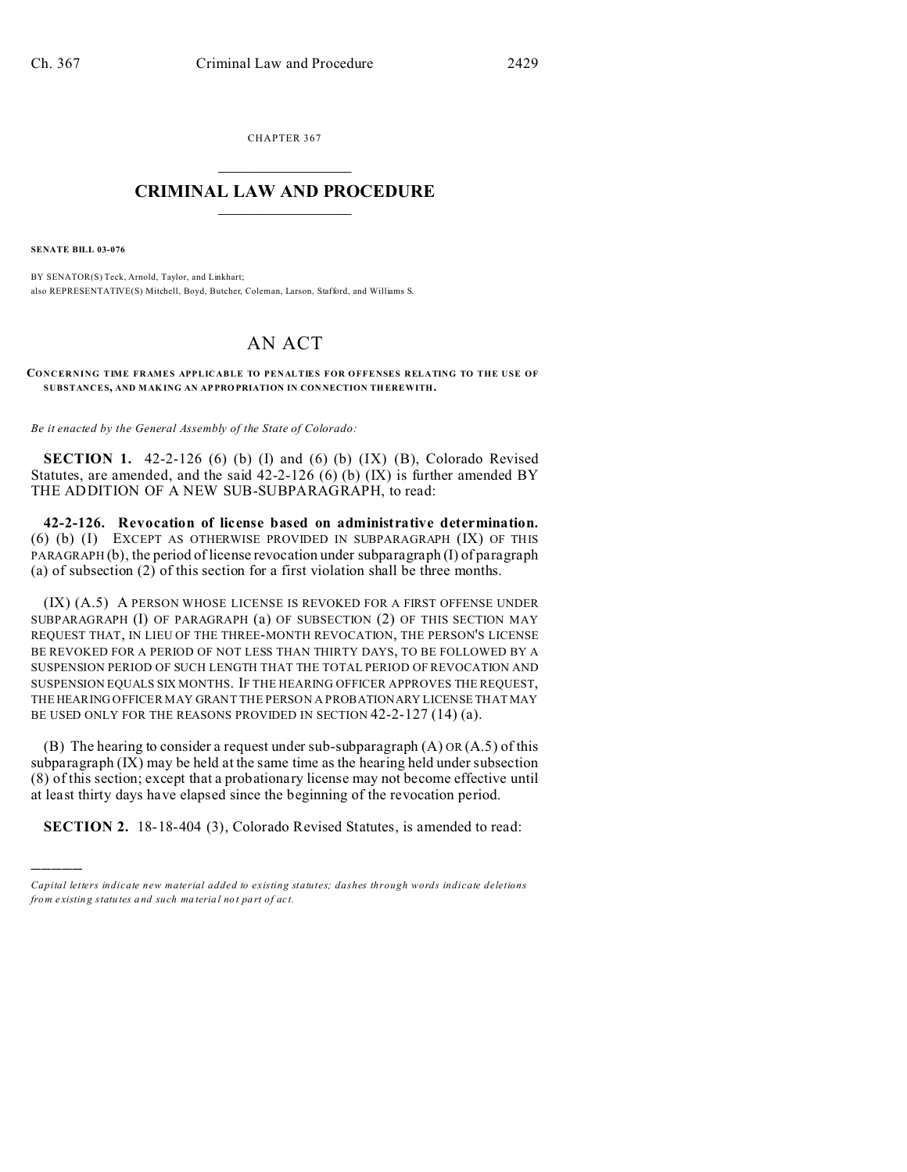CHAPTER 367  $\overline{\phantom{a}}$  , where  $\overline{\phantom{a}}$ 

## **CRIMINAL LAW AND PROCEDURE**  $\_$   $\_$   $\_$   $\_$   $\_$   $\_$   $\_$   $\_$   $\_$   $\_$

**SENATE BILL 03-076**

)))))

BY SENATOR(S) Teck, Arnold, Taylor, and Linkhart; also REPRESENTATIVE(S) Mitchell, Boyd, Butcher, Coleman, Larson, Stafford, and Williams S.

## AN ACT

**CONCERNING TIME FRAMES APPLICABLE TO PENALTIES FOR OFFENSES RELATING TO THE USE OF SUBSTANCES, AND MAK ING AN AP PRO PRIATION IN CON NECTION TH EREWITH.**

*Be it enacted by the General Assembly of the State of Colorado:*

**SECTION 1.** 42-2-126 (6) (b) (I) and (6) (b) (IX) (B), Colorado Revised Statutes, are amended, and the said  $42-2-126$  (6) (b) (IX) is further amended BY THE ADDITION OF A NEW SUB-SUBPARAGRAPH, to read:

**42-2-126. Revocation of license based on administrative determination.** (6) (b) (I) EXCEPT AS OTHERWISE PROVIDED IN SUBPARAGRAPH (IX) OF THIS PARAGRAPH (b), the period of license revocation under subparagraph (I) of paragraph (a) of subsection (2) of this section for a first violation shall be three months.

(IX) (A.5) A PERSON WHOSE LICENSE IS REVOKED FOR A FIRST OFFENSE UNDER SUBPARAGRAPH (I) OF PARAGRAPH (a) OF SUBSECTION (2) OF THIS SECTION MAY REQUEST THAT, IN LIEU OF THE THREE-MONTH REVOCATION, THE PERSON'S LICENSE BE REVOKED FOR A PERIOD OF NOT LESS THAN THIRTY DAYS, TO BE FOLLOWED BY A SUSPENSION PERIOD OF SUCH LENGTH THAT THE TOTAL PERIOD OF REVOCATION AND SUSPENSION EQUALS SIX MONTHS. IF THE HEARING OFFICER APPROVES THE REQUEST, THE HEARING OFFICER MAY GRANT THE PERSON A PROBATIONARY LICENSE THAT MAY BE USED ONLY FOR THE REASONS PROVIDED IN SECTION 42-2-127 (14) (a).

(B) The hearing to consider a request under sub-subparagraph  $(A)$  OR  $(A.5)$  of this subparagraph (IX) may be held at the same time as the hearing held under subsection (8) of this section; except that a probationary license may not become effective until at least thirty days have elapsed since the beginning of the revocation period.

**SECTION 2.** 18-18-404 (3), Colorado Revised Statutes, is amended to read:

*Capital letters indicate new material added to existing statutes; dashes through words indicate deletions from e xistin g statu tes a nd such ma teria l no t pa rt of ac t.*